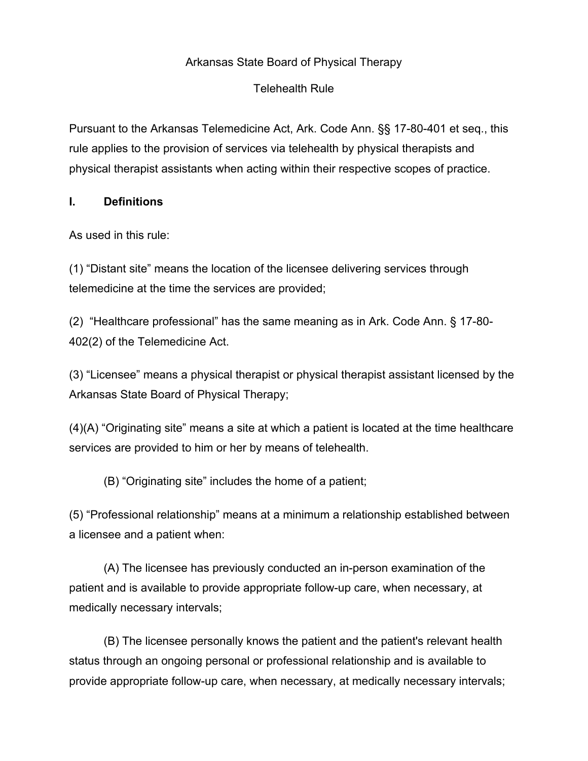### Arkansas State Board of Physical Therapy

#### Telehealth Rule

Pursuant to the Arkansas Telemedicine Act, Ark. Code Ann. §§ 17-80-401 et seq., this rule applies to the provision of services via telehealth by physical therapists and physical therapist assistants when acting within their respective scopes of practice.

#### **I. Definitions**

As used in this rule:

(1) "Distant site" means the location of the licensee delivering services through telemedicine at the time the services are provided;

(2) "Healthcare professional" has the same meaning as in Ark. Code Ann. § 17-80- 402(2) of the Telemedicine Act.

(3) "Licensee" means a physical therapist or physical therapist assistant licensed by the Arkansas State Board of Physical Therapy;

(4)(A) "Originating site" means a site at which a patient is located at the time healthcare services are provided to him or her by means of telehealth.

(B) "Originating site" includes the home of a patient;

(5) "Professional relationship" means at a minimum a relationship established between a licensee and a patient when:

(A) The licensee has previously conducted an in-person examination of the patient and is available to provide appropriate follow-up care, when necessary, at medically necessary intervals;

(B) The licensee personally knows the patient and the patient's relevant health status through an ongoing personal or professional relationship and is available to provide appropriate follow-up care, when necessary, at medically necessary intervals;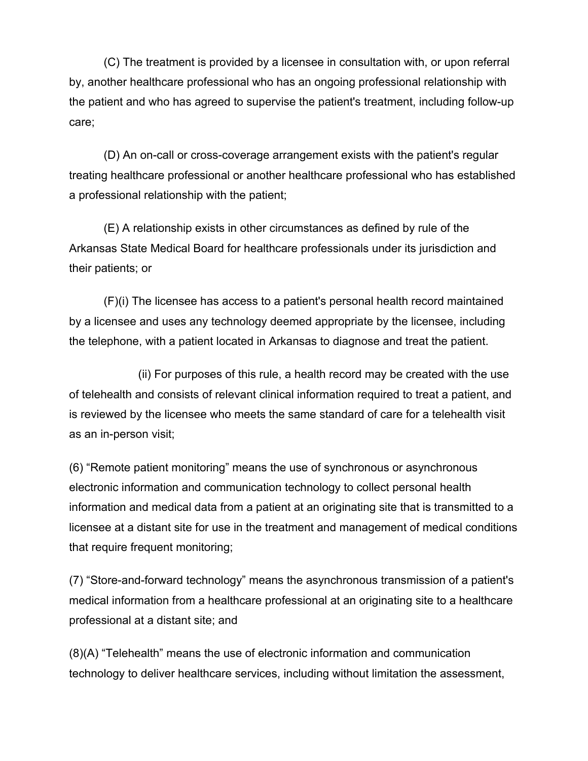(C) The treatment is provided by a licensee in consultation with, or upon referral by, another healthcare professional who has an ongoing professional relationship with the patient and who has agreed to supervise the patient's treatment, including follow-up care;

(D) An on-call or cross-coverage arrangement exists with the patient's regular treating healthcare professional or another healthcare professional who has established a professional relationship with the patient;

(E) A relationship exists in other circumstances as defined by rule of the Arkansas State Medical Board for healthcare professionals under its jurisdiction and their patients; or

(F)(i) The licensee has access to a patient's personal health record maintained by a licensee and uses any technology deemed appropriate by the licensee, including the telephone, with a patient located in Arkansas to diagnose and treat the patient.

(ii) For purposes of this rule, a health record may be created with the use of telehealth and consists of relevant clinical information required to treat a patient, and is reviewed by the licensee who meets the same standard of care for a telehealth visit as an in-person visit;

(6) "Remote patient monitoring" means the use of synchronous or asynchronous electronic information and communication technology to collect personal health information and medical data from a patient at an originating site that is transmitted to a licensee at a distant site for use in the treatment and management of medical conditions that require frequent monitoring;

(7) "Store-and-forward technology" means the asynchronous transmission of a patient's medical information from a healthcare professional at an originating site to a healthcare professional at a distant site; and

(8)(A) "Telehealth" means the use of electronic information and communication technology to deliver healthcare services, including without limitation the assessment,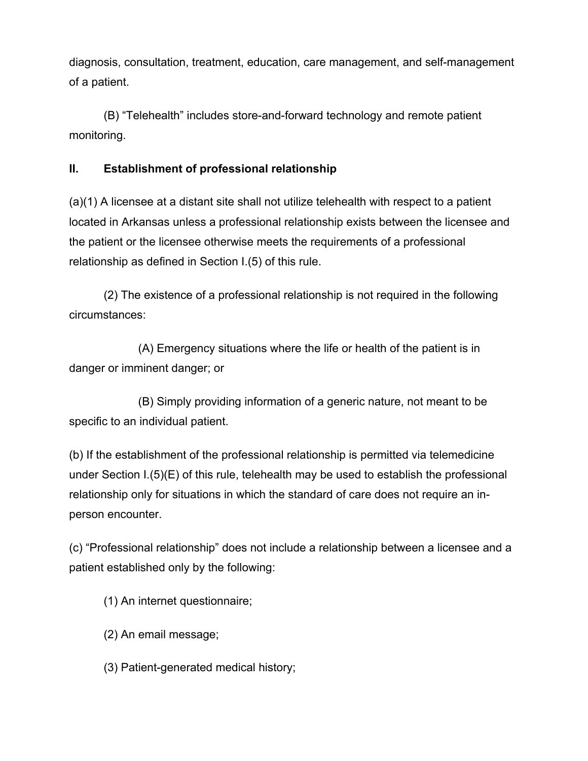diagnosis, consultation, treatment, education, care management, and self-management of a patient.

(B) "Telehealth" includes store-and-forward technology and remote patient monitoring.

## **II. Establishment of professional relationship**

(a)(1) A licensee at a distant site shall not utilize telehealth with respect to a patient located in Arkansas unless a professional relationship exists between the licensee and the patient or the licensee otherwise meets the requirements of a professional relationship as defined in Section I.(5) of this rule.

(2) The existence of a professional relationship is not required in the following circumstances:

(A) Emergency situations where the life or health of the patient is in danger or imminent danger; or

(B) Simply providing information of a generic nature, not meant to be specific to an individual patient.

(b) If the establishment of the professional relationship is permitted via telemedicine under Section I.(5)(E) of this rule, telehealth may be used to establish the professional relationship only for situations in which the standard of care does not require an inperson encounter.

(c) "Professional relationship" does not include a relationship between a licensee and a patient established only by the following:

(1) An internet questionnaire;

- (2) An email message;
- (3) Patient-generated medical history;